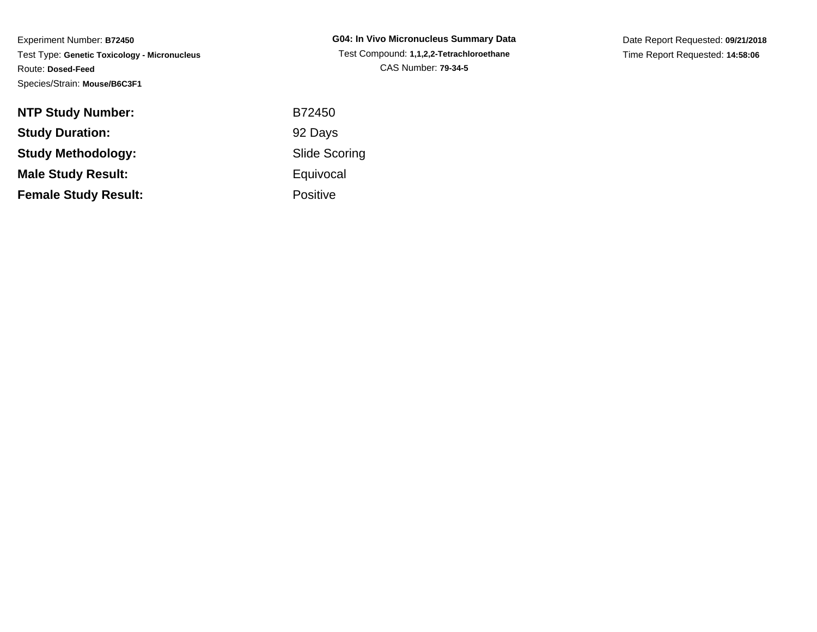| <b>NTP Study Number:</b>    |  |
|-----------------------------|--|
| <b>Study Duration:</b>      |  |
| <b>Study Methodology:</b>   |  |
| <b>Male Study Result:</b>   |  |
| <b>Female Study Result:</b> |  |

**G04: In Vivo Micronucleus Summary Data** Test Compound: **1,1,2,2-Tetrachloroethane**CAS Number: **79-34-5**

Date Report Requested: **09/21/2018**Time Report Requested: **14:58:06**

 B72450 92 Days Slide Scoring**Equivocal** Positive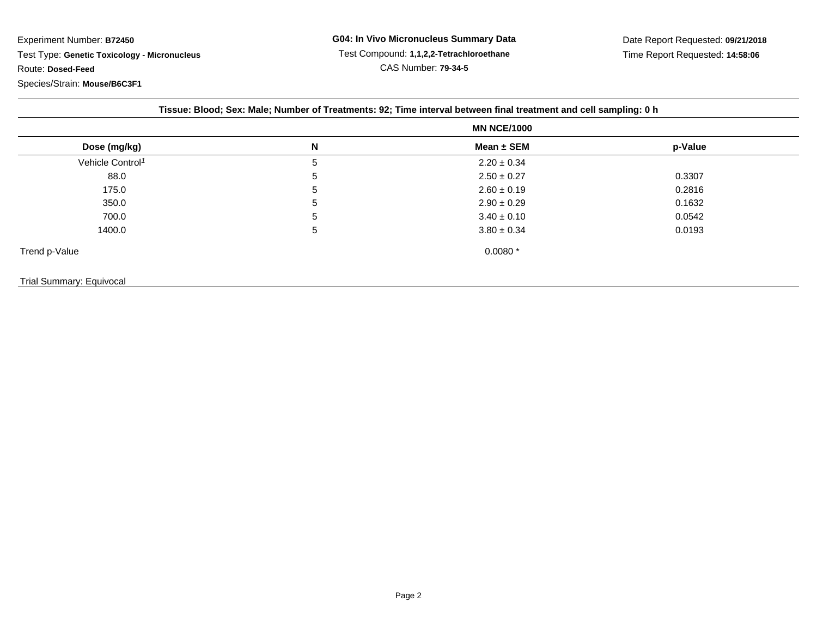|  |  |  |  | Tissue: Blood; Sex: Male; Number of Treatments: 92; Time interval between final treatment and cell sampling: 0 h |  |
|--|--|--|--|------------------------------------------------------------------------------------------------------------------|--|
|  |  |  |  |                                                                                                                  |  |

|                              | <b>MN NCE/1000</b> |                 |         |  |  |
|------------------------------|--------------------|-----------------|---------|--|--|
| Dose (mg/kg)                 | N                  | Mean ± SEM      | p-Value |  |  |
| Vehicle Control <sup>1</sup> | 5                  | $2.20 \pm 0.34$ |         |  |  |
| 88.0                         | 5                  | $2.50 \pm 0.27$ | 0.3307  |  |  |
| 175.0                        | 5                  | $2.60 \pm 0.19$ | 0.2816  |  |  |
| 350.0                        | 5                  | $2.90 \pm 0.29$ | 0.1632  |  |  |
| 700.0                        | 5                  | $3.40 \pm 0.10$ | 0.0542  |  |  |
| 1400.0                       | 5                  | $3.80 \pm 0.34$ | 0.0193  |  |  |
| Trend p-Value                |                    | $0.0080*$       |         |  |  |
|                              |                    |                 |         |  |  |

## Trial Summary: Equivocal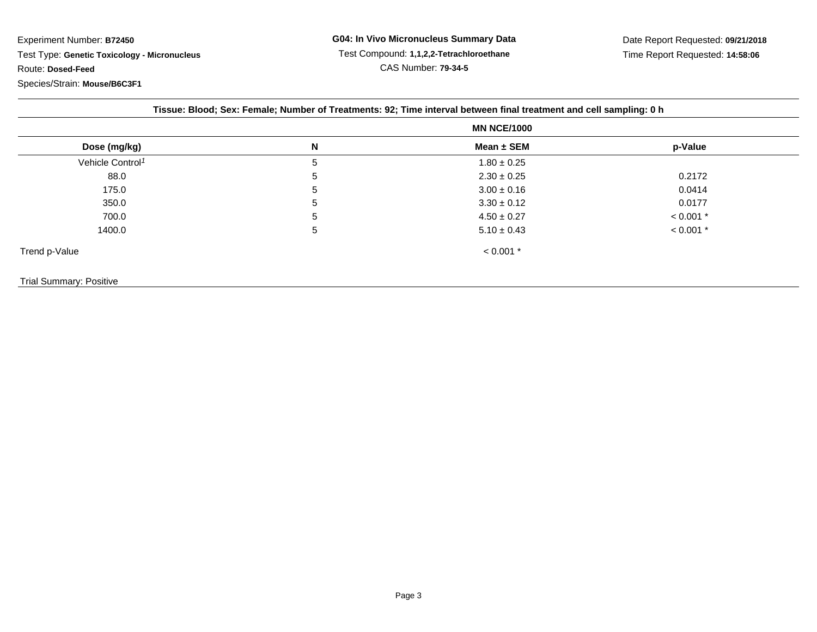|                              | <b>MN NCE/1000</b> |                 |             |
|------------------------------|--------------------|-----------------|-------------|
| Dose (mg/kg)                 | N                  | Mean $\pm$ SEM  | p-Value     |
| Vehicle Control <sup>1</sup> | 5                  | $1.80 \pm 0.25$ |             |
| 88.0                         | 5                  | $2.30 \pm 0.25$ | 0.2172      |
| 175.0                        | 5                  | $3.00 \pm 0.16$ | 0.0414      |
| 350.0                        | 5                  | $3.30 \pm 0.12$ | 0.0177      |
| 700.0                        | 5                  | $4.50 \pm 0.27$ | $< 0.001$ * |
| 1400.0                       | 5                  | $5.10 \pm 0.43$ | $< 0.001$ * |
| Trend p-Value                |                    | $< 0.001$ *     |             |